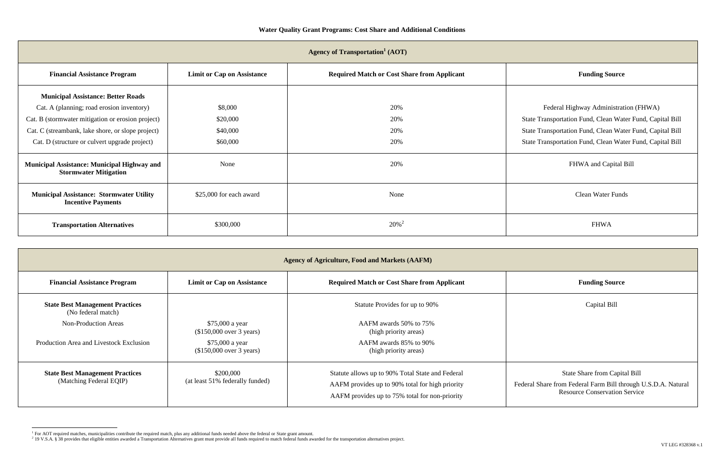Federal Highway Administration (FHWA) te Transportation Fund, Clean Water Fund, Capital Bill te Transportation Fund, Clean Water Fund, Capital Bill te Transportation Fund, Clean Water Fund, Capital Bill

FHWA and Capital Bill

Clean Water Funds

| <b>Financial Assistance Program</b>                                          | <b>Limit or Cap on Assistance</b> | <b>Required Match or Cost Share from Applicant</b> | <b>Funding Source</b>                |
|------------------------------------------------------------------------------|-----------------------------------|----------------------------------------------------|--------------------------------------|
| <b>Municipal Assistance: Better Roads</b>                                    |                                   |                                                    |                                      |
| Cat. A (planning; road erosion inventory)                                    | \$8,000                           | 20%                                                | Federal Highway Administrat          |
| Cat. B (stormwater mitigation or erosion project)                            | \$20,000                          | 20%                                                | State Transportation Fund, Clean Wat |
| Cat. C (streambank, lake shore, or slope project)                            | \$40,000                          | 20%                                                | State Transportation Fund, Clean Wat |
| Cat. D (structure or culvert upgrade project)                                | \$60,000                          | 20%                                                | State Transportation Fund, Clean Wat |
| Municipal Assistance: Municipal Highway and<br><b>Stormwater Mitigation</b>  | None                              | 20%                                                | FHWA and Capital                     |
| <b>Municipal Assistance: Stormwater Utility</b><br><b>Incentive Payments</b> | \$25,000 for each award           | None                                               | Clean Water Fund                     |
| <b>Transportation Alternatives</b>                                           | \$300,000                         | $20\%$ <sup>2</sup>                                | <b>FHWA</b>                          |

| <b>Agency of Agriculture, Food and Markets (AAFM)</b>             |                                              |                                                                                                                                                       |                                                                                                   |  |
|-------------------------------------------------------------------|----------------------------------------------|-------------------------------------------------------------------------------------------------------------------------------------------------------|---------------------------------------------------------------------------------------------------|--|
| <b>Financial Assistance Program</b>                               | <b>Limit or Cap on Assistance</b>            | <b>Required Match or Cost Share from Applicant</b>                                                                                                    | <b>Funding Source</b>                                                                             |  |
| <b>State Best Management Practices</b><br>(No federal match)      |                                              | Statute Provides for up to 90%                                                                                                                        | Capital Bill                                                                                      |  |
| <b>Non-Production Areas</b>                                       | \$75,000 a year<br>(\$150,000 over 3 years)  | AAFM awards 50% to 75%<br>(high priority areas)                                                                                                       |                                                                                                   |  |
| Production Area and Livestock Exclusion                           | \$75,000 a year<br>(\$150,000 over 3 years)  | AAFM awards 85% to 90%<br>(high priority areas)                                                                                                       |                                                                                                   |  |
| <b>State Best Management Practices</b><br>(Matching Federal EQIP) | \$200,000<br>(at least 51% federally funded) | Statute allows up to 90% Total State and Federal<br>AAFM provides up to 90% total for high priority<br>AAFM provides up to 75% total for non-priority | State Share from Capit<br>Federal Share from Federal Farm Bill th<br><b>Resource Conservation</b> |  |

## State Share from Capital Bill

Federal Share from Federal Farm Bill through U.S.D.A. Natural Resource Conservation Service

proper and the required matches, municipalities<br>The required matches, municipalities contribute the required match, plus any additional funds needed above the federal or State grant amount.<br>Prip V.S.A. § 38 provides that e